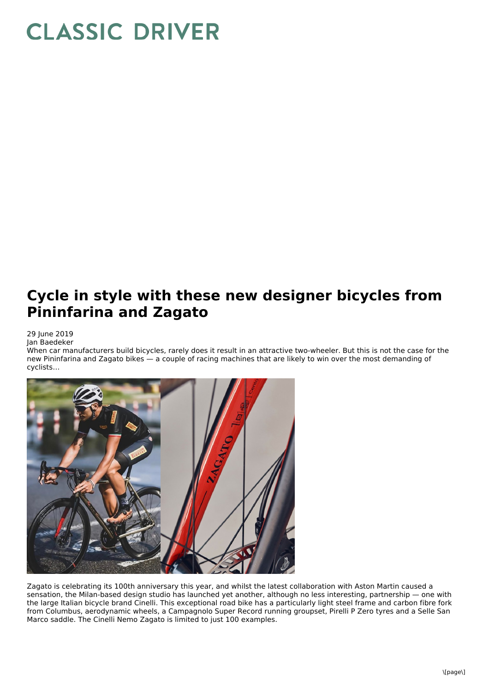## **CLASSIC DRIVER**

## **Cycle in style with these new designer bicycles from Pininfarina and Zagato**

## 29 June 2019

Jan Baedeker

When car manufacturers build bicycles, rarely does it result in an attractive two-wheeler. But this is not the case for the new Pininfarina and Zagato bikes — a couple of racing machines that are likely to win over the most demanding of cyclists…



Zagato is celebrating its 100th anniversary this year, and whilst the latest collaboration with Aston Martin caused a sensation, the Milan-based design studio has launched yet another, although no less interesting, partnership — one with the large Italian bicycle brand Cinelli. This exceptional road bike has a particularly light steel frame and carbon fibre fork from Columbus, aerodynamic wheels, a Campagnolo Super Record running groupset, Pirelli P Zero tyres and a Selle San Marco saddle. The Cinelli Nemo Zagato is limited to just 100 examples.